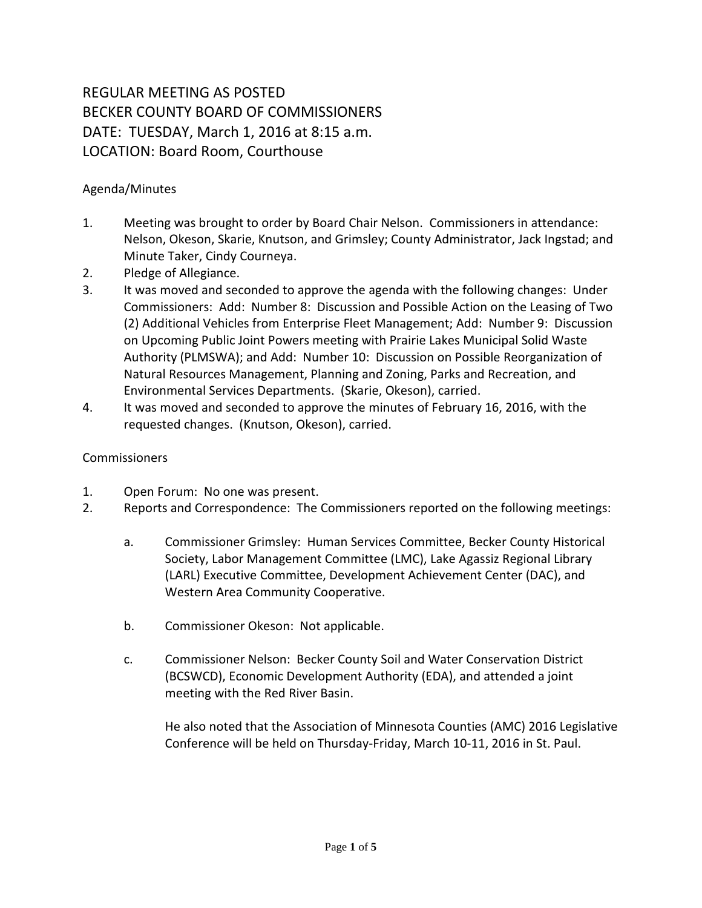## REGULAR MEETING AS POSTED BECKER COUNTY BOARD OF COMMISSIONERS DATE: TUESDAY, March 1, 2016 at 8:15 a.m. LOCATION: Board Room, Courthouse

## Agenda/Minutes

- 1. Meeting was brought to order by Board Chair Nelson. Commissioners in attendance: Nelson, Okeson, Skarie, Knutson, and Grimsley; County Administrator, Jack Ingstad; and Minute Taker, Cindy Courneya.
- 2. Pledge of Allegiance.
- 3. It was moved and seconded to approve the agenda with the following changes: Under Commissioners: Add: Number 8: Discussion and Possible Action on the Leasing of Two (2) Additional Vehicles from Enterprise Fleet Management; Add: Number 9: Discussion on Upcoming Public Joint Powers meeting with Prairie Lakes Municipal Solid Waste Authority (PLMSWA); and Add: Number 10: Discussion on Possible Reorganization of Natural Resources Management, Planning and Zoning, Parks and Recreation, and Environmental Services Departments. (Skarie, Okeson), carried.
- 4. It was moved and seconded to approve the minutes of February 16, 2016, with the requested changes. (Knutson, Okeson), carried.

## Commissioners

- 1. Open Forum: No one was present.
- 2. Reports and Correspondence: The Commissioners reported on the following meetings:
	- a. Commissioner Grimsley: Human Services Committee, Becker County Historical Society, Labor Management Committee (LMC), Lake Agassiz Regional Library (LARL) Executive Committee, Development Achievement Center (DAC), and Western Area Community Cooperative.
	- b. Commissioner Okeson: Not applicable.
	- c. Commissioner Nelson: Becker County Soil and Water Conservation District (BCSWCD), Economic Development Authority (EDA), and attended a joint meeting with the Red River Basin.

He also noted that the Association of Minnesota Counties (AMC) 2016 Legislative Conference will be held on Thursday-Friday, March 10-11, 2016 in St. Paul.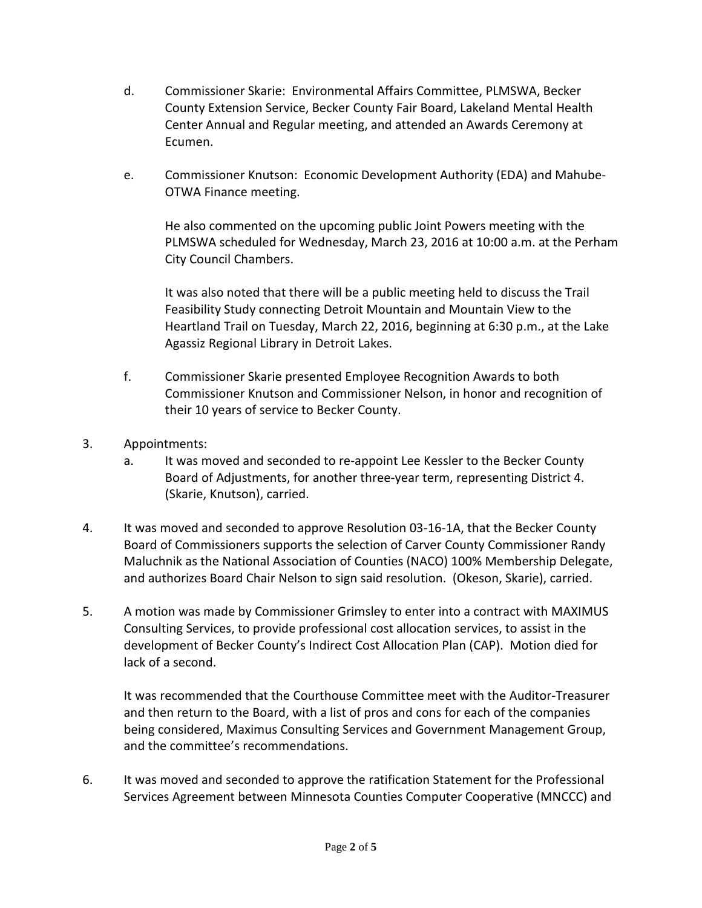- d. Commissioner Skarie: Environmental Affairs Committee, PLMSWA, Becker County Extension Service, Becker County Fair Board, Lakeland Mental Health Center Annual and Regular meeting, and attended an Awards Ceremony at Ecumen.
- e. Commissioner Knutson: Economic Development Authority (EDA) and Mahube-OTWA Finance meeting.

He also commented on the upcoming public Joint Powers meeting with the PLMSWA scheduled for Wednesday, March 23, 2016 at 10:00 a.m. at the Perham City Council Chambers.

It was also noted that there will be a public meeting held to discuss the Trail Feasibility Study connecting Detroit Mountain and Mountain View to the Heartland Trail on Tuesday, March 22, 2016, beginning at 6:30 p.m., at the Lake Agassiz Regional Library in Detroit Lakes.

- f. Commissioner Skarie presented Employee Recognition Awards to both Commissioner Knutson and Commissioner Nelson, in honor and recognition of their 10 years of service to Becker County.
- 3. Appointments:
	- a. It was moved and seconded to re-appoint Lee Kessler to the Becker County Board of Adjustments, for another three-year term, representing District 4. (Skarie, Knutson), carried.
- 4. It was moved and seconded to approve Resolution 03-16-1A, that the Becker County Board of Commissioners supports the selection of Carver County Commissioner Randy Maluchnik as the National Association of Counties (NACO) 100% Membership Delegate, and authorizes Board Chair Nelson to sign said resolution. (Okeson, Skarie), carried.
- 5. A motion was made by Commissioner Grimsley to enter into a contract with MAXIMUS Consulting Services, to provide professional cost allocation services, to assist in the development of Becker County's Indirect Cost Allocation Plan (CAP). Motion died for lack of a second.

It was recommended that the Courthouse Committee meet with the Auditor-Treasurer and then return to the Board, with a list of pros and cons for each of the companies being considered, Maximus Consulting Services and Government Management Group, and the committee's recommendations.

6. It was moved and seconded to approve the ratification Statement for the Professional Services Agreement between Minnesota Counties Computer Cooperative (MNCCC) and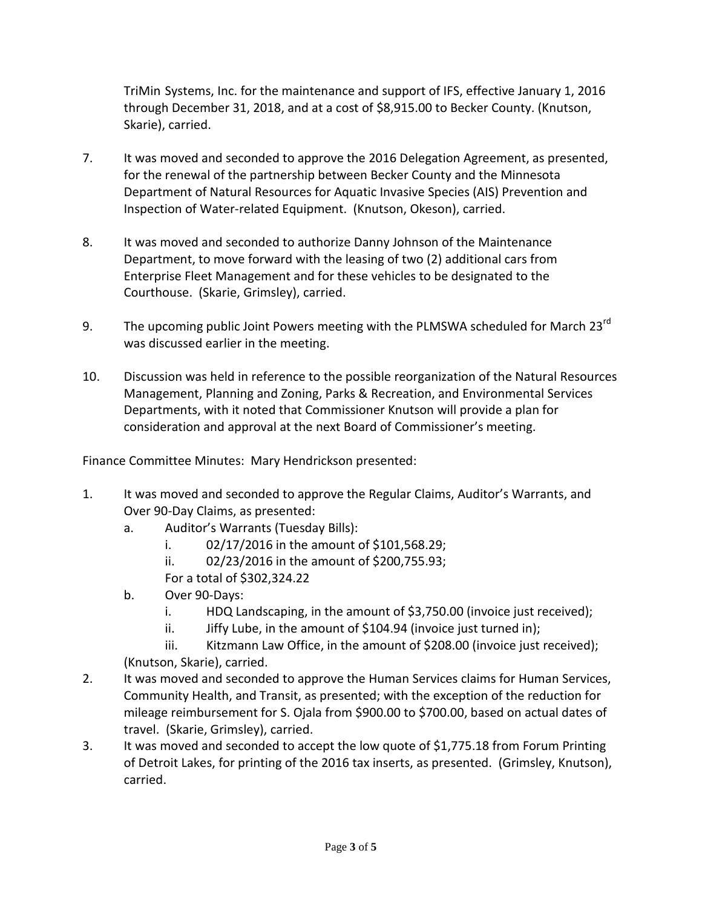TriMin Systems, Inc. for the maintenance and support of IFS, effective January 1, 2016 through December 31, 2018, and at a cost of \$8,915.00 to Becker County. (Knutson, Skarie), carried.

- 7. It was moved and seconded to approve the 2016 Delegation Agreement, as presented, for the renewal of the partnership between Becker County and the Minnesota Department of Natural Resources for Aquatic Invasive Species (AIS) Prevention and Inspection of Water-related Equipment. (Knutson, Okeson), carried.
- 8. It was moved and seconded to authorize Danny Johnson of the Maintenance Department, to move forward with the leasing of two (2) additional cars from Enterprise Fleet Management and for these vehicles to be designated to the Courthouse. (Skarie, Grimsley), carried.
- 9. The upcoming public Joint Powers meeting with the PLMSWA scheduled for March 23<sup>rd</sup> was discussed earlier in the meeting.
- 10. Discussion was held in reference to the possible reorganization of the Natural Resources Management, Planning and Zoning, Parks & Recreation, and Environmental Services Departments, with it noted that Commissioner Knutson will provide a plan for consideration and approval at the next Board of Commissioner's meeting.

Finance Committee Minutes: Mary Hendrickson presented:

- 1. It was moved and seconded to approve the Regular Claims, Auditor's Warrants, and Over 90-Day Claims, as presented:
	- a. Auditor's Warrants (Tuesday Bills):
		- i. 02/17/2016 in the amount of \$101,568.29;
		- ii. 02/23/2016 in the amount of \$200,755.93;

For a total of \$302,324.22

- b. Over 90-Days:
	- i. HDQ Landscaping, in the amount of \$3,750.00 (invoice just received);
	- ii. Jiffy Lube, in the amount of \$104.94 (invoice just turned in);

iii. Kitzmann Law Office, in the amount of \$208.00 (invoice just received); (Knutson, Skarie), carried.

- 2. It was moved and seconded to approve the Human Services claims for Human Services, Community Health, and Transit, as presented; with the exception of the reduction for mileage reimbursement for S. Ojala from \$900.00 to \$700.00, based on actual dates of travel. (Skarie, Grimsley), carried.
- 3. It was moved and seconded to accept the low quote of \$1,775.18 from Forum Printing of Detroit Lakes, for printing of the 2016 tax inserts, as presented. (Grimsley, Knutson), carried.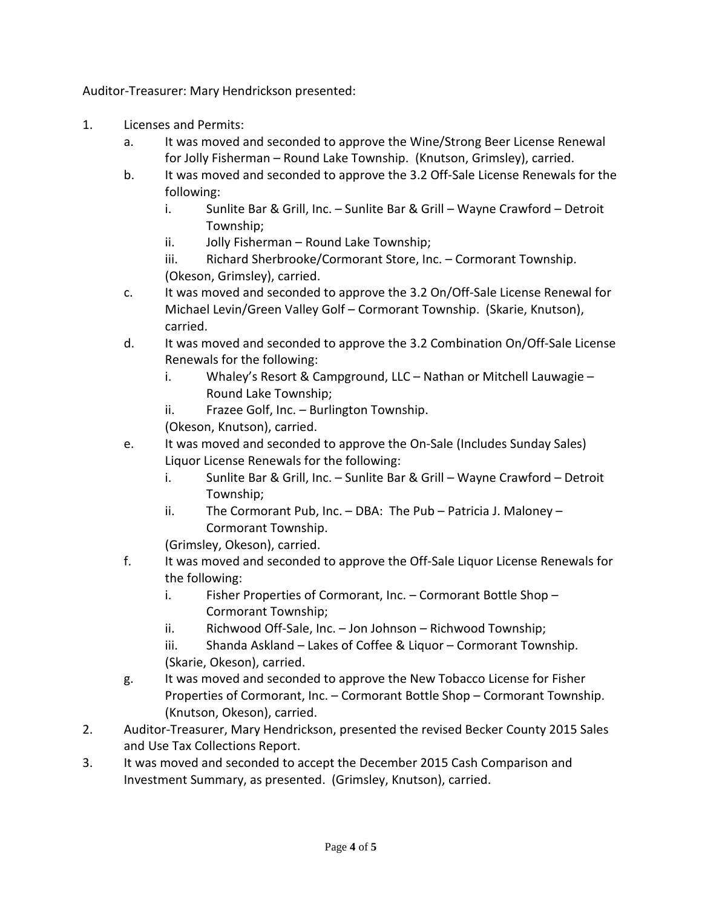Auditor-Treasurer: Mary Hendrickson presented:

- 1. Licenses and Permits:
	- a. It was moved and seconded to approve the Wine/Strong Beer License Renewal for Jolly Fisherman – Round Lake Township. (Knutson, Grimsley), carried.
	- b. It was moved and seconded to approve the 3.2 Off-Sale License Renewals for the following:
		- i. Sunlite Bar & Grill, Inc. Sunlite Bar & Grill Wayne Crawford Detroit Township;
		- ii. Jolly Fisherman Round Lake Township;
		- iii. Richard Sherbrooke/Cormorant Store, Inc. Cormorant Township. (Okeson, Grimsley), carried.
	- c. It was moved and seconded to approve the 3.2 On/Off-Sale License Renewal for Michael Levin/Green Valley Golf – Cormorant Township. (Skarie, Knutson), carried.
	- d. It was moved and seconded to approve the 3.2 Combination On/Off-Sale License Renewals for the following:
		- i. Whaley's Resort & Campground, LLC Nathan or Mitchell Lauwagie Round Lake Township;
		- ii. Frazee Golf, Inc. Burlington Township.

(Okeson, Knutson), carried.

- e. It was moved and seconded to approve the On-Sale (Includes Sunday Sales) Liquor License Renewals for the following:
	- i. Sunlite Bar & Grill, Inc. Sunlite Bar & Grill Wayne Crawford Detroit Township;
	- ii. The Cormorant Pub, Inc. DBA: The Pub Patricia J. Maloney Cormorant Township.

(Grimsley, Okeson), carried.

- f. It was moved and seconded to approve the Off-Sale Liquor License Renewals for the following:
	- i. Fisher Properties of Cormorant, Inc. Cormorant Bottle Shop Cormorant Township;
	- ii. Richwood Off-Sale, Inc. Jon Johnson Richwood Township;
	- iii. Shanda Askland Lakes of Coffee & Liquor Cormorant Township. (Skarie, Okeson), carried.
- g. It was moved and seconded to approve the New Tobacco License for Fisher Properties of Cormorant, Inc. – Cormorant Bottle Shop – Cormorant Township. (Knutson, Okeson), carried.
- 2. Auditor-Treasurer, Mary Hendrickson, presented the revised Becker County 2015 Sales and Use Tax Collections Report.
- 3. It was moved and seconded to accept the December 2015 Cash Comparison and Investment Summary, as presented. (Grimsley, Knutson), carried.